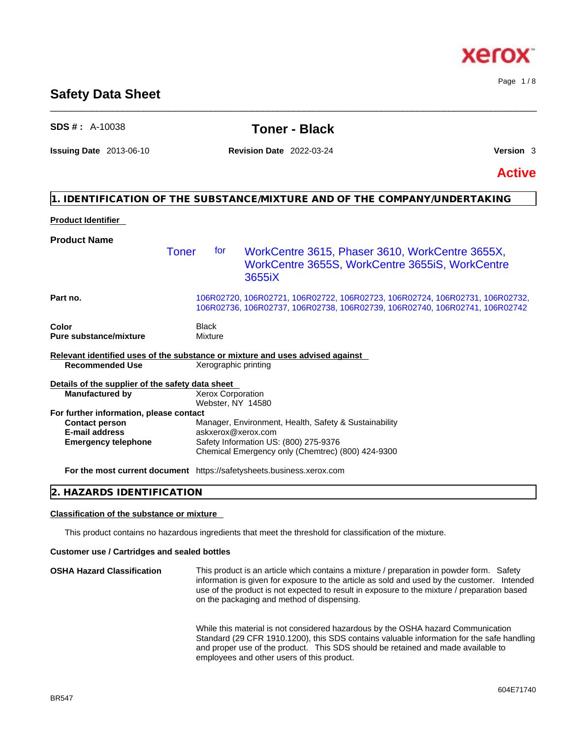### **Safety Data Sheet** \_\_\_\_\_\_\_\_\_\_\_\_\_\_\_\_\_\_\_\_\_\_\_\_\_\_\_\_\_\_\_\_\_\_\_\_\_\_\_\_\_\_\_\_\_\_\_\_\_\_\_\_\_\_\_\_\_\_\_\_\_\_\_\_\_\_\_\_\_\_\_\_\_\_\_\_\_\_\_\_\_\_\_\_\_\_\_\_\_\_\_\_\_\_

## **SDS # :** A-10038 **Toner - Black**

**Issuing Date** 2013-06-10 **Revision Date** 2022-03-24 **Version** 3

Page 1 / 8

**Active**

## **1. IDENTIFICATION OF THE SUBSTANCE/MIXTURE AND OF THE COMPANY/UNDERTAKING**

### **Product Identifier**

| <b>Product Name</b>                                                                            |                                        |                                                                                                                                                             |
|------------------------------------------------------------------------------------------------|----------------------------------------|-------------------------------------------------------------------------------------------------------------------------------------------------------------|
|                                                                                                | Toner<br>for                           | WorkCentre 3615, Phaser 3610, WorkCentre 3655X,<br>WorkCentre 3655S, WorkCentre 3655iS, WorkCentre<br>3655iX                                                |
| Part no.                                                                                       |                                        | 106R02720, 106R02721, 106R02722, 106R02723, 106R02724, 106R02731, 106R02732,<br>106R02736, 106R02737, 106R02738, 106R02739, 106R02740, 106R02741, 106R02742 |
| Color                                                                                          | Black                                  |                                                                                                                                                             |
| <b>Pure substance/mixture</b>                                                                  | Mixture                                |                                                                                                                                                             |
|                                                                                                |                                        | Relevant identified uses of the substance or mixture and uses advised against                                                                               |
| <b>Recommended Use</b>                                                                         | Xerographic printing                   |                                                                                                                                                             |
| Details of the supplier of the safety data sheet                                               |                                        |                                                                                                                                                             |
| <b>Manufactured by</b>                                                                         | Xerox Corporation<br>Webster, NY 14580 |                                                                                                                                                             |
| For further information, please contact                                                        |                                        |                                                                                                                                                             |
| <b>Contact person</b>                                                                          |                                        | Manager, Environment, Health, Safety & Sustainability                                                                                                       |
| <b>E-mail address</b>                                                                          | askxerox@xerox.com                     |                                                                                                                                                             |
| <b>Emergency telephone</b>                                                                     |                                        | Safety Information US: (800) 275-9376                                                                                                                       |
|                                                                                                |                                        | Chemical Emergency only (Chemtrec) (800) 424-9300                                                                                                           |
| Este this to set in contract the second of the ball of the local parts because the property as |                                        |                                                                                                                                                             |

**For the most current document** https://safetysheets.business.xerox.com

## **2. HAZARDS IDENTIFICATION**

### **Classification of the substance or mixture**

This product contains no hazardous ingredients that meet the threshold for classification of the mixture.

#### **Customer use / Cartridges and sealed bottles**

**OSHA Hazard Classification** This product is an article which contains a mixture / preparation in powder form. Safety information is given for exposure to the article as sold and used by the customer. Intended use of the product is not expected to result in exposure to the mixture / preparation based on the packaging and method of dispensing.

> While this material is not considered hazardous by the OSHA hazard Communication Standard (29 CFR 1910.1200), this SDS contains valuable information for the safe handling and proper use of the product. This SDS should be retained and made available to employees and other users of this product.

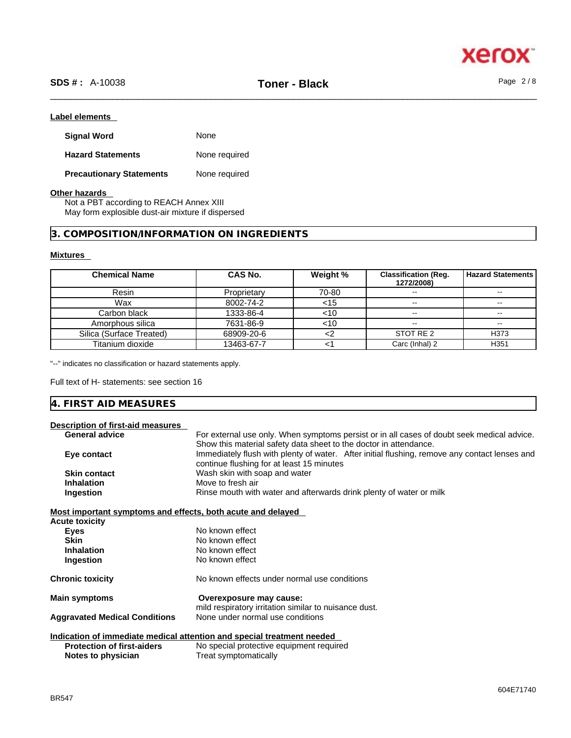

#### **Label elements**

| <b>Signal Word</b>              | None          |
|---------------------------------|---------------|
| <b>Hazard Statements</b>        | None required |
| <b>Precautionary Statements</b> | None required |

#### **Other hazards**

Not a PBT according to REACH Annex XIII May form explosible dust-air mixture if dispersed

#### **3. COMPOSITION/INFORMATION ON INGREDIENTS**

#### **Mixtures**

| <b>Chemical Name</b>     | <b>CAS No.</b> | Weight % | <b>Classification (Req.</b><br>1272/2008) | <b>Hazard Statements</b> |
|--------------------------|----------------|----------|-------------------------------------------|--------------------------|
| Resin                    | Proprietary    | 70-80    | $\overline{\phantom{m}}$                  | $\sim$ $\sim$            |
| Wax                      | 8002-74-2      | <15      | $\overline{\phantom{m}}$                  | $- -$                    |
| Carbon black             | 1333-86-4      | <10      | $\overline{\phantom{m}}$                  | $\sim$                   |
| Amorphous silica         | 7631-86-9      | <10      | $\overline{\phantom{m}}$                  | $\sim$ $\sim$            |
| Silica (Surface Treated) | 68909-20-6     |          | STOT RE 2                                 | H373                     |
| Titanium dioxide         | 13463-67-7     |          | Carc (Inhal) 2                            | H <sub>351</sub>         |

"--" indicates no classification or hazard statements apply.

Full text of H- statements: see section 16

| 4. FIRST AID MEASURES |
|-----------------------|
|-----------------------|

| Description of first-aid measures                           |                                                                                               |
|-------------------------------------------------------------|-----------------------------------------------------------------------------------------------|
| <b>General advice</b>                                       | For external use only. When symptoms persist or in all cases of doubt seek medical advice.    |
|                                                             | Show this material safety data sheet to the doctor in attendance.                             |
| Eye contact                                                 | Immediately flush with plenty of water. After initial flushing, remove any contact lenses and |
|                                                             | continue flushing for at least 15 minutes                                                     |
| <b>Skin contact</b>                                         | Wash skin with soap and water                                                                 |
| <b>Inhalation</b>                                           | Move to fresh air                                                                             |
| Ingestion                                                   | Rinse mouth with water and afterwards drink plenty of water or milk                           |
|                                                             |                                                                                               |
| Most important symptoms and effects, both acute and delayed |                                                                                               |
| <b>Acute toxicity</b>                                       |                                                                                               |
| Eyes                                                        | No known effect                                                                               |
| <b>Skin</b>                                                 | No known effect                                                                               |
| <b>Inhalation</b>                                           | No known effect                                                                               |
| Ingestion                                                   | No known effect                                                                               |
|                                                             | No known effects under normal use conditions                                                  |
| <b>Chronic toxicity</b>                                     |                                                                                               |
| <b>Main symptoms</b>                                        | Overexposure may cause:                                                                       |
|                                                             | mild respiratory irritation similar to nuisance dust.                                         |
| <b>Aggravated Medical Conditions</b>                        | None under normal use conditions                                                              |
|                                                             |                                                                                               |
|                                                             | Indication of immediate medical attention and special treatment needed                        |
| <b>Protection of first-aiders</b>                           | No special protective equipment required                                                      |
| Notes to physician                                          | Treat symptomatically                                                                         |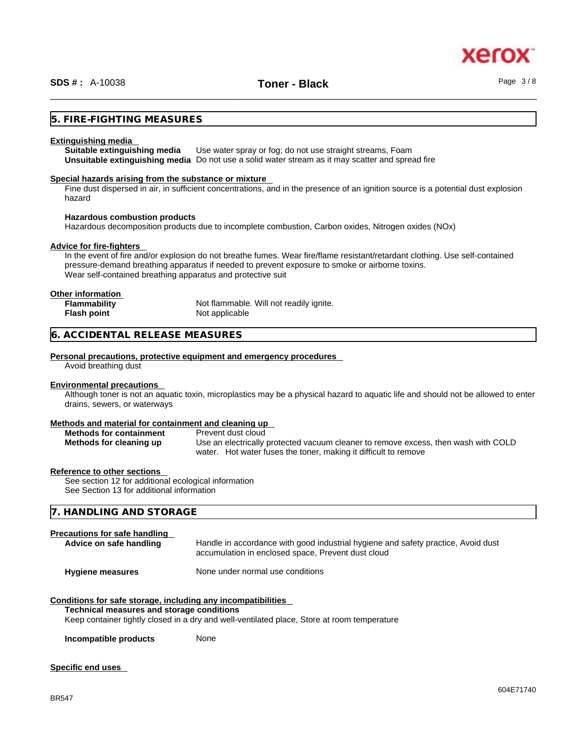#### **5. FIRE-FIGHTING MEASURES**

#### **Extinguishing media**

**Suitable extinguishing media** Use water spray or fog; do not use straight streams, Foam **Unsuitable extinguishing media** Do not use a solid water stream as it may scatterand spread fire

#### **Special hazards arising from the substance or mixture**

Fine dust dispersed in air, in sufficient concentrations, and in the presence of an ignition source is a potential dust explosion hazard

#### **Hazardous combustion products**

Hazardous decomposition products due to incomplete combustion, Carbon oxides, Nitrogen oxides (NOx)

#### **Advice for fire-fighters**

In the event of fire and/or explosion do not breathe fumes. Wear fire/flame resistant/retardant clothing. Use self-contained pressure-demand breathing apparatus if needed to prevent exposure to smoke or airborne toxins. Wear self-contained breathing apparatus and protective suit

#### **Other information**

| <b>Flammability</b> | Not flammable. Will not readily ignite. |
|---------------------|-----------------------------------------|
| Flash point         | Not applicable                          |

#### **6. ACCIDENTAL RELEASE MEASURES**

#### **Personal precautions, protective equipment and emergency procedures**

Avoid breathing dust

#### **Environmental precautions**

Although toner is not an aquatic toxin, microplastics may be a physical hazard to aquatic life and should not be allowed to enter drains, sewers, or waterways

#### **Methods and material for containment and cleaning up**

| <b>Methods for containment</b> | Prevent dust cloud                                                                 |
|--------------------------------|------------------------------------------------------------------------------------|
| Methods for cleaning up        | Use an electrically protected vacuum cleaner to remove excess, then wash with COLD |
|                                | water. Hot water fuses the toner, making it difficult to remove                    |

#### **Reference to other sections**

See section 12 for additional ecological information See Section 13 for additional information

#### **7. HANDLING AND STORAGE**

#### **Precautions for safe handling**

| Advice on safe handling | Handle in accordance with good industrial hygiene and safety practice, Avoid dust<br>accumulation in enclosed space, Prevent dust cloud |
|-------------------------|-----------------------------------------------------------------------------------------------------------------------------------------|
| <b>Hygiene measures</b> | None under normal use conditions                                                                                                        |

#### **Conditions for safe storage, including any incompatibilities**

#### **Technical measures and storage conditions**

Keep container tightly closed in a dry and well-ventilated place, Store at room temperature

**Incompatible products** None

#### **Specific end uses**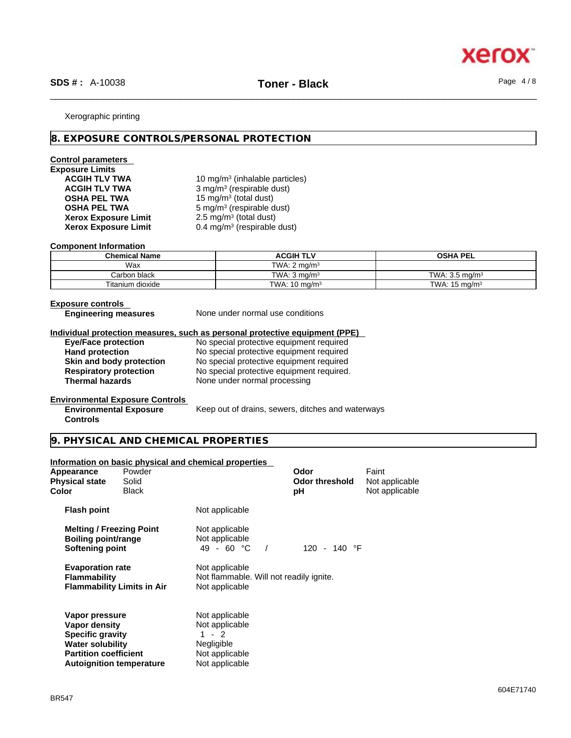

#### Xerographic printing

#### **8. EXPOSURE CONTROLS/PERSONAL PROTECTION**

#### **Control parameters**

# **Exposure Limits Xerox Exposure Limit<br>Xerox Exposure Limit**

ACGIH TLV TWA **10 mg/m<sup>3</sup> (inhalable particles) ACGIH TLV TWA** 3 mg/m<sup>3</sup> (respirable dust) **OSHA PEL TWA** 15 mg/m<sup>3</sup> (total dust) **OSHA PEL TWA** 5 mg/m<sup>3</sup> (respirable dust)  $2.5 \text{ mg/m}^3$  (total dust) **Xerox Exposure Limit** 0.4 mg/m<sup>3</sup> (respirable dust)

#### **Component Information**

| <b>Chemical Name</b> | <b>ACGIH TLV</b>         | <b>OSHA PEL</b>           |
|----------------------|--------------------------|---------------------------|
| Wax                  | TWA: $2 \text{ ma/m}^3$  |                           |
| Carbon black         | TWA: $3 \text{ ma/m}^3$  | TWA: $3.5 \text{ ma/m}^3$ |
| Titanium dioxide     | TWA: $10 \text{ mg/m}^3$ | TWA: $15 \text{ mg/m}^3$  |

**Controls** 

**Exposure controls<br>
Engineering measures** 

None under normal use conditions

#### **Individual protection measures, such as personal protective equipment (PPE)**

**Eye/Face protection** No special protective equipment required

**Hand protection** No special protective equipment required **Skin and body protection** No special protective equipment required<br> **Respiratory protection** No special protective equipment required. **Respiratory protection** No special protective equipment required.<br> **Thermal hazards** None under normal processing **None under normal processing** 

#### **Environmental Exposure Controls Environmental Exposure**

Keep out of drains, sewers, ditches and waterways

#### **9. PHYSICAL AND CHEMICAL PROPERTIES**

#### **Information on basic physical and chemical properties**

| Appearance<br>Physical state<br>Color                                                                                                                    | Powder<br>Solid<br><b>Black</b> |                                                                                               | Odor<br><b>Odor threshold</b><br>рH | Faint<br>Not applicable<br>Not applicable |  |
|----------------------------------------------------------------------------------------------------------------------------------------------------------|---------------------------------|-----------------------------------------------------------------------------------------------|-------------------------------------|-------------------------------------------|--|
| <b>Flash point</b>                                                                                                                                       |                                 | Not applicable                                                                                |                                     |                                           |  |
| <b>Melting / Freezing Point</b><br>Boiling point/range<br>Softening point                                                                                |                                 | Not applicable<br>Not applicable<br>$49 - 60 °C$                                              | 120 - 140 °F                        |                                           |  |
| <b>Evaporation rate</b><br><b>Flammability</b><br><b>Flammability Limits in Air</b>                                                                      |                                 | Not applicable<br>Not flammable. Will not readily ignite.<br>Not applicable                   |                                     |                                           |  |
| Vapor pressure<br>Vapor density<br><b>Specific gravity</b><br><b>Water solubility</b><br><b>Partition coefficient</b><br><b>Autoignition temperature</b> |                                 | Not applicable<br>Not applicable<br>$1 - 2$<br>Negligible<br>Not applicable<br>Not applicable |                                     |                                           |  |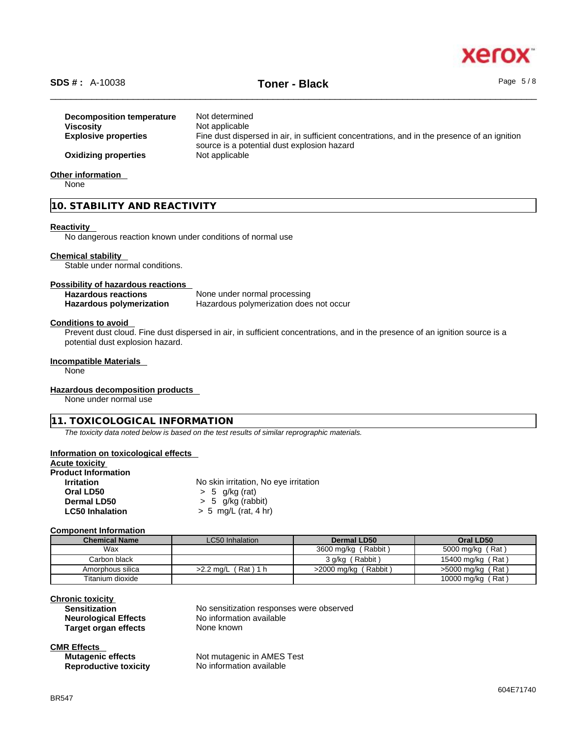

## \_\_\_\_\_\_\_\_\_\_\_\_\_\_\_\_\_\_\_\_\_\_\_\_\_\_\_\_\_\_\_\_\_\_\_\_\_\_\_\_\_\_\_\_\_\_\_\_\_\_\_\_\_\_\_\_\_\_\_\_\_\_\_\_\_\_\_\_\_\_\_\_\_\_\_\_\_\_\_\_\_\_\_\_\_\_\_\_\_\_\_\_\_\_ **SDS # :** A-10038 **Toner - Black** Page 5 / 8

**Decomposition temperature** Not determined **Viscosity Not applicable Explosive properties** Fine dust dispersed in air, in sufficient concentrations, and in the presence of an ignition source is a potential dust explosion hazard **Oxidizing properties** Not applicable **Other information** 

None

#### **10. STABILITY AND REACTIVITY**

#### **Reactivity**

No dangerous reaction known under conditions of normal use

#### **Chemical stability**

Stable under normal conditions.

#### **Possibility of hazardous reactions**

**Hazardous reactions**<br> **Hazardous polymerization Hazardous polymerization does Hazardous polymerization does not occur** 

#### **Conditions to avoid**

Prevent dust cloud. Fine dust dispersed in air, in sufficient concentrations, and in the presence of an ignition source is a potential dust explosion hazard.

#### **Incompatible Materials**

None

#### **Hazardous decomposition products**

None under normal use

#### **11. TOXICOLOGICAL INFORMATION**

*The toxicity data noted below is based on the test results of similar reprographic materials.* 

#### **Information on toxicological effects**

| Acute toxicitv             |                                       |  |
|----------------------------|---------------------------------------|--|
| <b>Product Information</b> |                                       |  |
| <b>Irritation</b>          | No skin irritation, No eye irritation |  |
| Oral LD50                  | $> 5$ g/kg (rat)                      |  |
| Dermal LD50                | $> 5$ g/kg (rabbit)                   |  |
| <b>LC50 Inhalation</b>     | $> 5$ mg/L (rat, 4 hr)                |  |

#### **Component Information**

| <b>Chemical Name</b> | LC50 Inhalation          | Dermal LD50            | Oral LD50           |
|----------------------|--------------------------|------------------------|---------------------|
| Wax                  |                          | 3600 mg/kg (Rabbit)    | 5000 mg/kg (Rat)    |
| Carbon black         |                          | 3 g/kg (Rabbit)        | 15400 mg/kg (Rat)   |
| Amorphous silica     | (Rat) 1 h<br>$>2.2$ ma/L | $>2000$ mg/kg (Rabbit) | $>5000$ mg/kg (Rat) |
| Titanium dioxide     |                          |                        | 10000 mg/kg (Rat)   |

#### **Chronic toxicity**

| <b>Sensitization</b>        |  |
|-----------------------------|--|
| <b>Neurological Effects</b> |  |
| <b>Target organ effects</b> |  |

No sensitization responses were observed **No information available None known** 

#### **CMR Effects**

| <b>Mutagenic effects</b> |                              |
|--------------------------|------------------------------|
|                          | <b>Reproductive toxicity</b> |

**Not mutagenic in AMES Test No information available**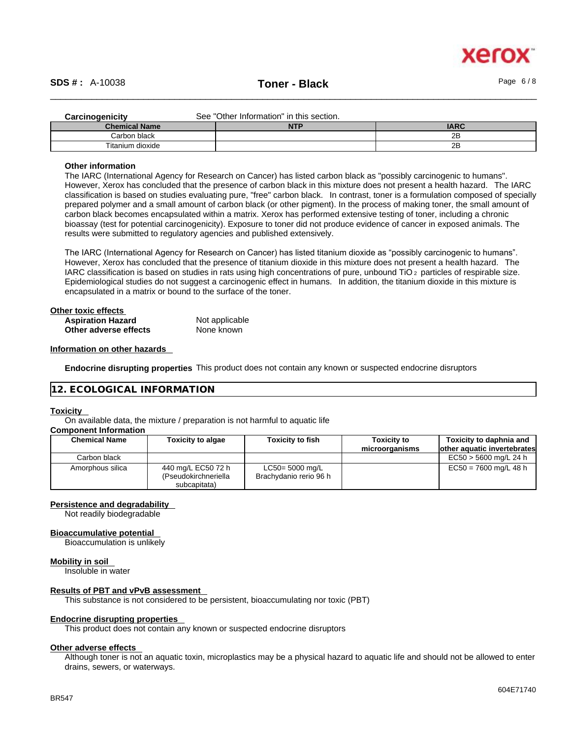

| <b>Carcinogenicity</b> | See "Other Information" in this section. |             |
|------------------------|------------------------------------------|-------------|
| <b>Chemical Name</b>   | <b>NTP</b>                               | <b>IARC</b> |
| Carbon black           |                                          | 2B          |
| Titanium dioxide       |                                          | 2B          |

#### **Other information**

The IARC (International Agency for Research on Cancer) has listed carbon black as "possibly carcinogenic to humans". However, Xerox has concluded that the presence of carbon black in this mixture does not present a health hazard. The IARC classification is based on studies evaluating pure, "free" carbon black. In contrast, toner is a formulation composed of specially prepared polymer and a small amount of carbon black (or other pigment). In the process of making toner, the small amount of carbon black becomes encapsulated within a matrix. Xerox has performed extensive testing of toner, including a chronic bioassay (test for potential carcinogenicity). Exposure to toner did not produce evidence of cancer in exposed animals. The results were submitted to regulatory agencies and published extensively.

The IARC (International Agency for Research on Cancer) has listed titanium dioxide as "possibly carcinogenic to humans". However, Xerox has concluded that the presence of titanium dioxide in this mixture does not present a health hazard. The IARC classification is based on studies in rats using high concentrations of pure, unbound TiO 2 particles of respirable size. Epidemiological studies do not suggest a carcinogenic effect in humans. In addition, the titanium dioxide in this mixture is encapsulated in a matrix or bound to the surface of the toner.

| Other toxic effects      |                |  |
|--------------------------|----------------|--|
| <b>Aspiration Hazard</b> | Not applicable |  |
| Other adverse effects    | None known     |  |

#### **Information on other hazards**

**Endocrine disrupting properties** This product does not contain any known or suspected endocrine disruptors

#### **12. ECOLOGICAL INFORMATION**

#### **Toxicity**

On available data, the mixture / preparation is not harmful to aquatic life

#### **Component Information**

| <b>Chemical Name</b> | <b>Toxicity to algae</b>                                   | <b>Toxicity to fish</b>                   | <b>Toxicity to</b><br>microorganisms | Toxicity to daphnia and<br>lother aquatic invertebrates |
|----------------------|------------------------------------------------------------|-------------------------------------------|--------------------------------------|---------------------------------------------------------|
| Carbon black         |                                                            |                                           |                                      | $EC50 > 5600$ mg/L 24 h                                 |
| Amorphous silica     | 440 mg/L EC50 72 h<br>(Pseudokirchneriella<br>subcapitata) | LC50= 5000 mg/L<br>Brachydanio rerio 96 h |                                      | $EC50 = 7600$ mg/L 48 h                                 |

#### **Persistence and degradability**

Not readily biodegradable

#### **Bioaccumulative potential**

Bioaccumulation is unlikely

#### **Mobility in soil**

Insoluble in water

#### **Results of PBT and vPvB assessment**

This substance is not considered to be persistent, bioaccumulating nor toxic (PBT)

#### **Endocrine disrupting properties**

This product does not contain any known or suspected endocrine disruptors

#### **Other adverse effects**

Although toner is not an aquatic toxin, microplastics may be a physical hazard to aquatic life and should not be allowed to enter drains, sewers, or waterways.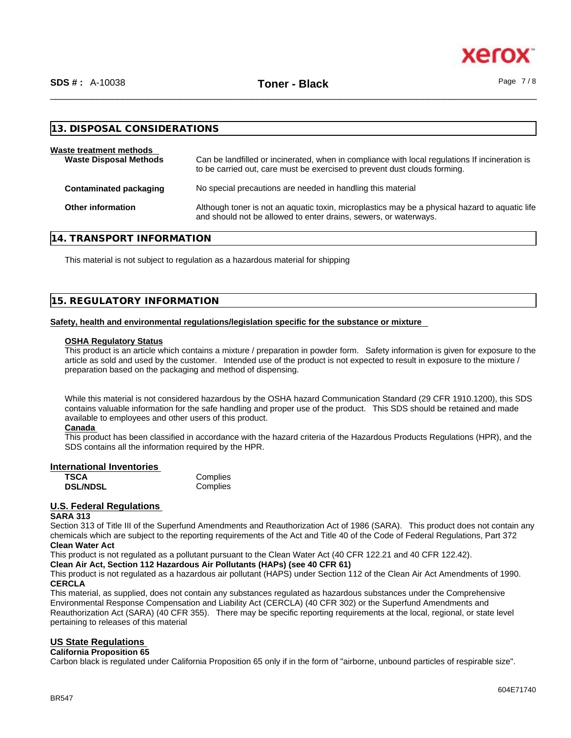xer

| 13. DISPOSAL CONSIDERATIONS                              |                                                                                                                                                                             |
|----------------------------------------------------------|-----------------------------------------------------------------------------------------------------------------------------------------------------------------------------|
| Waste treatment methods<br><b>Waste Disposal Methods</b> | Can be landfilled or incinerated, when in compliance with local regulations If incineration is<br>to be carried out, care must be exercised to prevent dust clouds forming. |
| Contaminated packaging                                   | No special precautions are needed in handling this material                                                                                                                 |
| <b>Other information</b>                                 | Although toner is not an aquatic toxin, microplastics may be a physical hazard to aquatic life<br>and should not be allowed to enter drains, sewers, or waterways.          |

#### **14. TRANSPORT INFORMATION**

This material is not subject to regulation as a hazardous material for shipping

#### **15. REGULATORY INFORMATION**

#### **Safety, health and environmental regulations/legislation specific for the substance or mixture**

#### **OSHA Regulatory Status**

This product is an article which contains a mixture / preparation in powder form. Safety information is given for exposure to the article as sold and used by the customer. Intended use of the product is not expected to result in exposure to the mixture / preparation based on the packaging and method of dispensing.

While this material is not considered hazardous by the OSHA hazard Communication Standard (29 CFR 1910.1200), this SDS contains valuable information for the safe handling and proper use of the product. This SDS should be retained and made available to employees and other users of this product.

#### **Canada**

This product has been classified in accordance with the hazard criteria of the Hazardous Products Regulations (HPR), and the SDS contains all the information required by the HPR.

#### **International Inventories**

| <b>TSCA</b>     | Complies |
|-----------------|----------|
| <b>DSL/NDSL</b> | Complies |

#### **U.S. Federal Regulations**

#### **SARA 313**

Section 313 of Title III of the Superfund Amendments and Reauthorization Act of 1986 (SARA). This product does not contain any chemicals which are subject to the reporting requirements of the Act and Title 40 of the Code of Federal Regulations, Part 372 **Clean Water Act**

This product is not regulated as a pollutant pursuant to the Clean Water Act (40 CFR 122.21 and 40 CFR 122.42).

#### **Clean Air Act,Section 112 Hazardous Air Pollutants (HAPs) (see 40 CFR 61)**

This product is not regulated as a hazardous air pollutant (HAPS) under Section 112 of the Clean Air Act Amendments of 1990. **CERCLA**

This material, as supplied, does not contain any substances regulated as hazardous substances under the Comprehensive Environmental Response Compensation and Liability Act (CERCLA) (40 CFR 302) or the Superfund Amendments and Reauthorization Act (SARA) (40 CFR 355). There may be specific reporting requirements at the local, regional, or state level pertaining to releases of this material

#### **US State Regulations**

#### **California Proposition 65**

Carbon black is regulated under California Proposition 65 only if in the form of "airborne, unbound particles of respirable size".